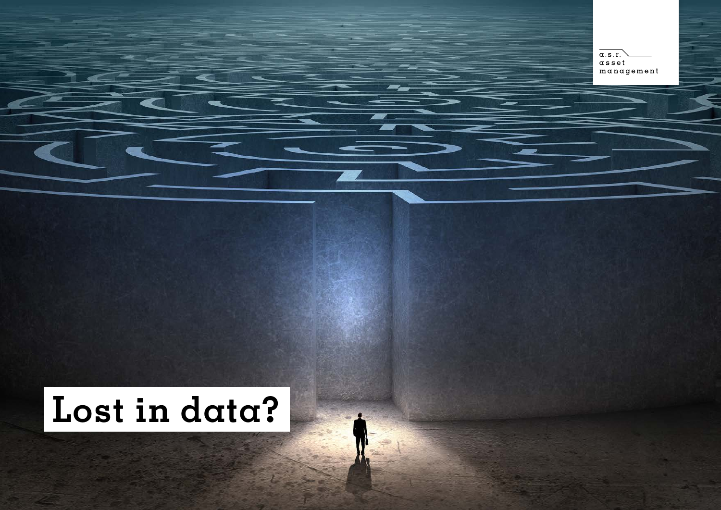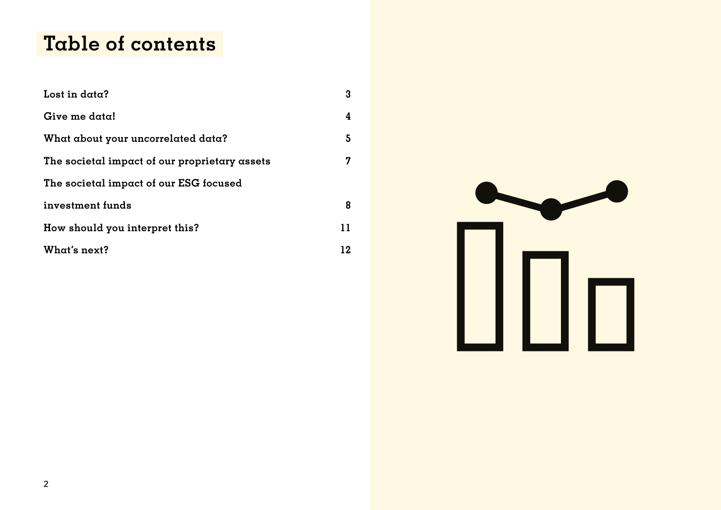## **Table of contents**

| Lost in data?                                 | 3  |
|-----------------------------------------------|----|
| Give me data!                                 | 4  |
| What about your uncorrelated data?            | 5  |
| The societal impact of our proprietary assets | 7  |
| The societal impact of our ESG focused        |    |
| investment funds                              | 8  |
| How should you interpret this?                | 11 |
| What's next?                                  | 12 |

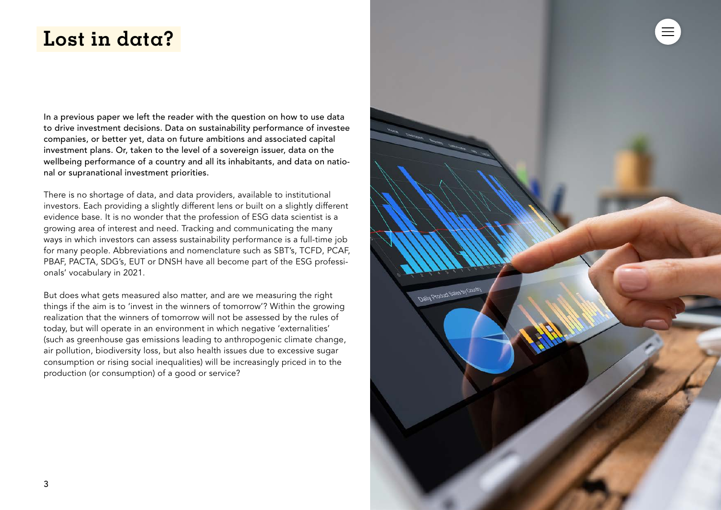## <span id="page-2-0"></span>**Lost in data?**

In a previous paper we left the reader with the question on how to use data to drive investment decisions. Data on sustainability performance of investee companies, or better yet, data on future ambitions and associated capital investment plans. Or, taken to the level of a sovereign issuer, data on the wellbeing performance of a country and all its inhabitants, and data on national or supranational investment priorities.

There is no shortage of data, and data providers, available to institutional investors. Each providing a slightly different lens or built on a slightly different evidence base. It is no wonder that the profession of ESG data scientist is a growing area of interest and need. Tracking and communicating the many ways in which investors can assess sustainability performance is a full-time job for many people. Abbreviations and nomenclature such as SBT's, TCFD, PCAF, PBAF, PACTA, SDG's, EUT or DNSH have all become part of the ESG professionals' vocabulary in 2021.

But does what gets measured also matter, and are we measuring the right things if the aim is to 'invest in the winners of tomorrow'? Within the growing realization that the winners of tomorrow will not be assessed by the rules of today, but will operate in an environment in which negative 'externalities' (such as greenhouse gas emissions leading to anthropogenic climate change, air pollution, biodiversity loss, but also health issues due to excessive sugar consumption or rising social inequalities) will be increasingly priced in to the production (or consumption) of a good or service?

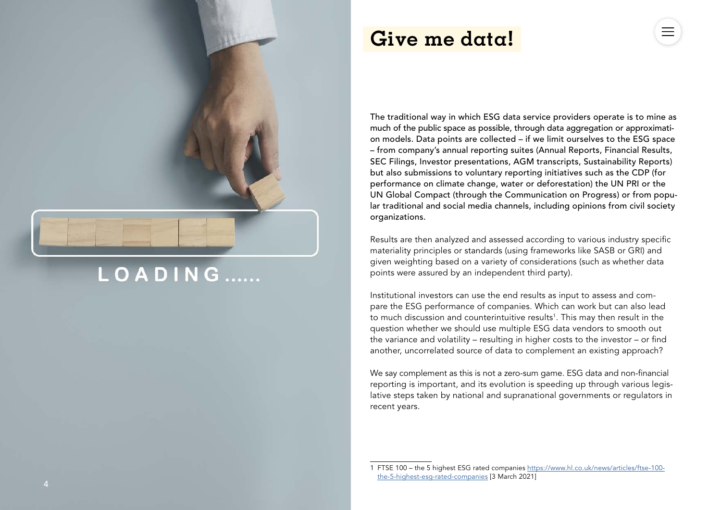

# LOADING......

### <span id="page-3-0"></span>**Give me data!**

The traditional way in which ESG data service providers operate is to mine as much of the public space as possible, through data aggregation or approximati on models. Data points are collected – if we limit ourselves to the ESG space – from company's annual reporting suites (Annual Reports, Financial Results, SEC Filings, Investor presentations, AGM transcripts, Sustainability Reports) but also submissions to voluntary reporting initiatives such as the CDP (for performance on climate change, water or deforestation) the UN PRI or the UN Global Compact (through the Communication on Progress) or from popu lar traditional and social media channels, including opinions from civil society organizations.

Results are then analyzed and assessed according to various industry specific materiality principles or standards (using frameworks like SASB or GRI) and given weighting based on a variety of considerations (such as whether data points were assured by an independent third party).

Institutional investors can use the end results as input to assess and com pare the ESG performance of companies. Which can work but can also lead to much discussion and counterintuitive results 1 . This may then result in the question whether we should use multiple ESG data vendors to smooth out the variance and volatility – resulting in higher costs to the investor – or find another, uncorrelated source of data to complement an existing approach?

We say complement as this is not a zero-sum game. ESG data and non-financial reporting is important, and its evolution is speeding up through various legis lative steps taken by national and supranational governments or regulators in recent years.<br>1 FTSE 100 – the 5 highest ESG rated companies [https://www.hl.co.uk/news/articles/ftse-100-](https://www.hl.co.uk/news/articles/ftse-100-the-5-highest-esg-rated-companies)

[the-5-highest-esg-rated-companies](https://www.hl.co.uk/news/articles/ftse-100-the-5-highest-esg-rated-companies) [3 March 2021]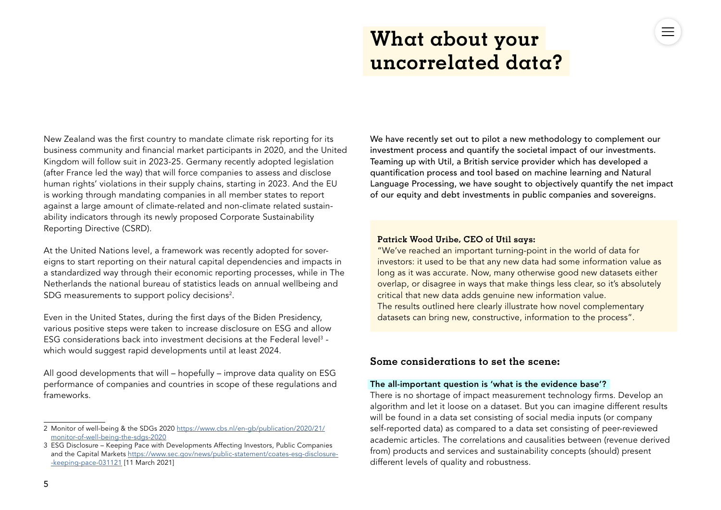# <span id="page-4-0"></span>**What about your uncorrelated data?**

New Zealand was the first country to mandate climate risk reporting for its business community and financial market participants in 2020, and the United Kingdom will follow suit in 2023-25. Germany recently adopted legislation (after France led the way) that will force companies to assess and disclose human rights' violations in their supply chains, starting in 2023. And the EU is working through mandating companies in all member states to report against a large amount of climate-related and non-climate related sustainability indicators through its newly proposed Corporate Sustainability Reporting Directive (CSRD).

At the United Nations level, a framework was recently adopted for sovereigns to start reporting on their natural capital dependencies and impacts in a standardized way through their economic reporting processes, while in The Netherlands the national bureau of statistics leads on annual wellbeing and SDG measurements to support policy decisions<sup>2</sup>.

Even in the United States, during the first days of the Biden Presidency, various positive steps were taken to increase disclosure on ESG and allow ESG considerations back into investment decisions at the Federal level<sup>3</sup> which would suggest rapid developments until at least 2024.

All good developments that will – hopefully – improve data quality on ESG performance of companies and countries in scope of these regulations and frameworks.

We have recently set out to pilot a new methodology to complement our investment process and quantify the societal impact of our investments. Teaming up with Util, a British service provider which has developed a quantification process and tool based on machine learning and Natural Language Processing, we have sought to objectively quantify the net impact of our equity and debt investments in public companies and sovereigns.

#### **Patrick Wood Uribe, CEO of Util says:**

"We've reached an important turning-point in the world of data for investors: it used to be that any new data had some information value as long as it was accurate. Now, many otherwise good new datasets either overlap, or disagree in ways that make things less clear, so it's absolutely critical that new data adds genuine new information value. The results outlined here clearly illustrate how novel complementary datasets can bring new, constructive, information to the process".

#### **Some considerations to set the scene:**

#### The all-important question is 'what is the evidence base'?

There is no shortage of impact measurement technology firms. Develop an algorithm and let it loose on a dataset. But you can imagine different results will be found in a data set consisting of social media inputs (or company self-reported data) as compared to a data set consisting of peer-reviewed academic articles. The correlations and causalities between (revenue derived from) products and services and sustainability concepts (should) present different levels of quality and robustness.

<sup>2</sup> Monitor of well-being & the SDGs 2020 [https://www.cbs.nl/en-gb/publication/2020/21/](https://www.cbs.nl/en-gb/publication/2020/21/monitor-of-well-being-the-sdgs-2020) [monitor-of-well-being-the-sdgs-2020](https://www.cbs.nl/en-gb/publication/2020/21/monitor-of-well-being-the-sdgs-2020)

<sup>3</sup> ESG Disclosure – Keeping Pace with Developments Affecting Investors, Public Companies and the Capital Markets [https://www.sec.gov/news/public-statement/coates-esg-disclosure-](https://www.sec.gov/news/public-statement/coates-esg-disclosure-keeping-pace-031121) [-keeping-pace-031121](https://www.sec.gov/news/public-statement/coates-esg-disclosure-keeping-pace-031121) [11 March 2021]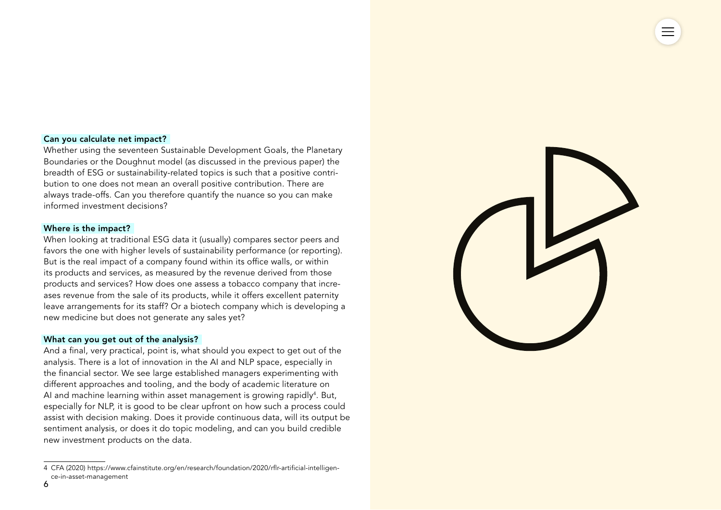#### Can you calculate net impact?

Whether using the seventeen Sustainable Development Goals, the Planetary Boundaries or the Doughnut model (as discussed in the previous paper) the breadth of ESG or sustainability-related topics is such that a positive contribution to one does not mean an overall positive contribution. There are always trade-offs. Can you therefore quantify the nuance so you can make informed investment decisions?

#### Where is the impact?

When looking at traditional ESG data it (usually) compares sector peers and favors the one with higher levels of sustainability performance (or reporting). But is the real impact of a company found within its office walls, or within its products and services, as measured by the revenue derived from those products and services? How does one assess a tobacco company that increases revenue from the sale of its products, while it offers excellent paternity leave arrangements for its staff? Or a biotech company which is developing a new medicine but does not generate any sales yet?

#### What can you get out of the analysis?

And a final, very practical, point is, what should you expect to get out of the analysis. There is a lot of innovation in the AI and NLP space, especially in the financial sector. We see large established managers experimenting with different approaches and tooling, and the body of academic literature on AI and machine learning within asset management is growing rapidly<sup>4</sup>. But, especially for NLP, it is good to be clear upfront on how such a process could assist with decision making. Does it provide continuous data, will its output be sentiment analysis, or does it do topic modeling, and can you build credible new investment products on the data.



<sup>4</sup> CFA (2020) https://www.cfainstitute.org/en/research/foundation/2020/rflr-artificial-intelligence-in-asset-management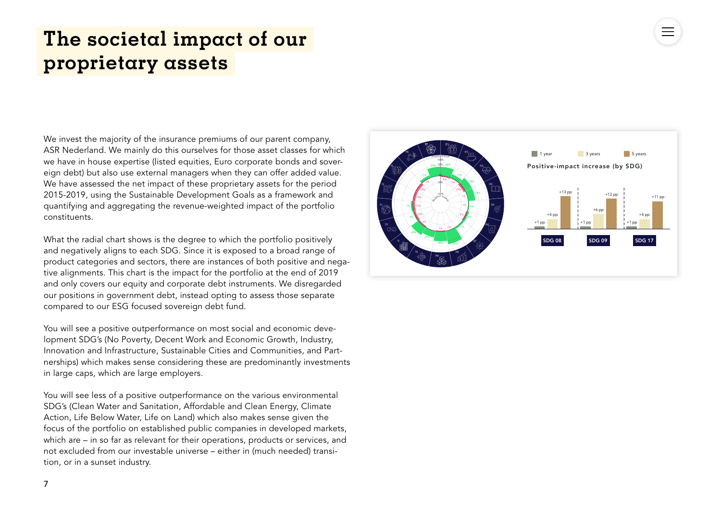## <span id="page-6-0"></span>**The societal impact of our proprietary assets**

We invest the majority of the insurance premiums of our parent company. ASR Nederland. We mainly do this ourselves for those asset classes for which we have in house expertise (listed equities, Euro corporate bonds and sovereign debt) but also use external managers when they can offer added value. We have assessed the net impact of these proprietary assets for the period 2015-2019, using the Sustainable Development Goals as a framework and quantifying and aggregating the revenue-weighted impact of the portfolio constituents.

What the radial chart shows is the degree to which the portfolio positively and negatively aligns to each SDG. Since it is exposed to a broad range of product categories and sectors, there are instances of both positive and negative alignments. This chart is the impact for the portfolio at the end of 2019 and only covers our equity and corporate debt instruments. We disregarded our positions in government debt, instead opting to assess those separate compared to our ESG focused sovereign debt fund.

You will see a positive outperformance on most social and economic development SDG's (No Poverty, Decent Work and Economic Growth, Industry, Innovation and Infrastructure, Sustainable Cities and Communities, and Partnerships) which makes sense considering these are predominantly investments in large caps, which are large employers.

You will see less of a positive outperformance on the various environmental SDG's (Clean Water and Sanitation, Affordable and Clean Energy, Climate Action, Life Below Water, Life on Land) which also makes sense given the focus of the portfolio on established public companies in developed markets, which are – in so far as relevant for their operations, products or services, and not excluded from our investable universe – either in (much needed) transition, or in a sunset industry.

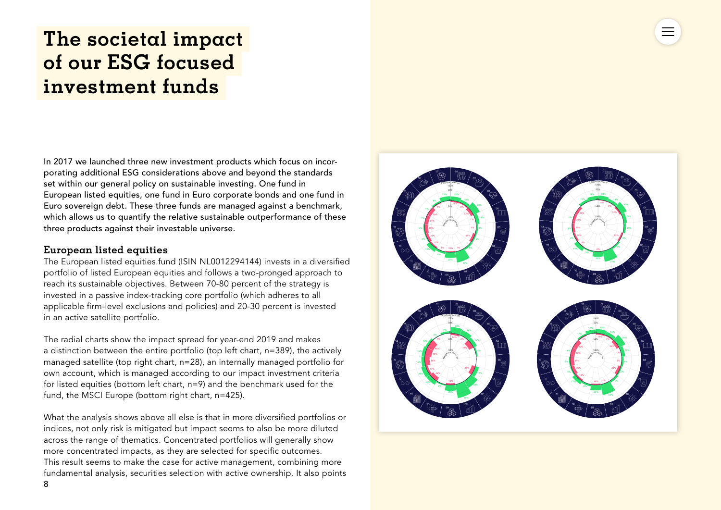# <span id="page-7-0"></span>**The societal impact of our ESG focused investment funds**

In 2017 we launched three new investment products which focus on incorporating additional ESG considerations above and beyond the standards set within our general policy on sustainable investing. One fund in European listed equities, one fund in Euro corporate bonds and one fund in Euro sovereign debt. These three funds are managed against a benchmark, which allows us to quantify the relative sustainable outperformance of these three products against their investable universe.

### **European listed equities**

The European listed equities fund (ISIN NL0012294144) invests in a diversified portfolio of listed European equities and follows a two-pronged approach to reach its sustainable objectives. Between 70-80 percent of the strategy is invested in a passive index-tracking core portfolio (which adheres to all applicable firm-level exclusions and policies) and 20-30 percent is invested in an active satellite portfolio.

The radial charts show the impact spread for year-end 2019 and makes a distinction between the entire portfolio (top left chart, n=389), the actively managed satellite (top right chart, n=28), an internally managed portfolio for own account, which is managed according to our impact investment criteria for listed equities (bottom left chart, n=9) and the benchmark used for the fund, the MSCI Europe (bottom right chart, n=425).

What the analysis shows above all else is that in more diversified portfolios or indices, not only risk is mitigated but impact seems to also be more diluted across the range of thematics. Concentrated portfolios will generally show more concentrated impacts, as they are selected for specific outcomes. This result seems to make the case for active management, combining more fundamental analysis, securities selection with active ownership. It also points

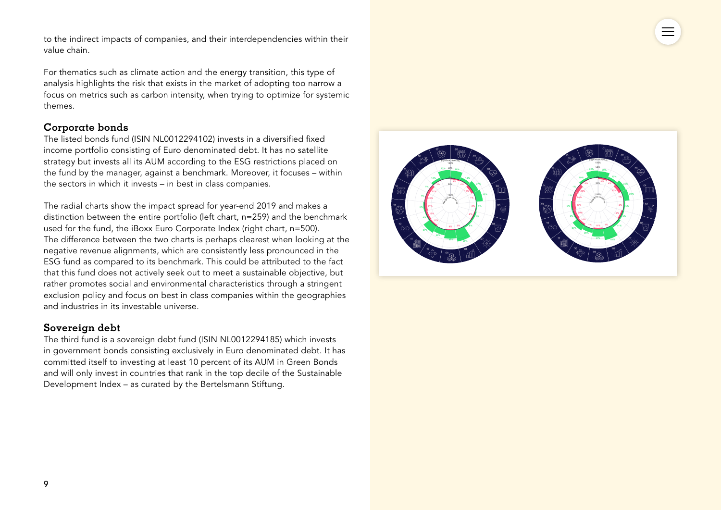to the indirect impacts of companies, and their interdependencies within their value chain.

For thematics such as climate action and the energy transition, this type of analysis highlights the risk that exists in the market of adopting too narrow a focus on metrics such as carbon intensity, when trying to optimize for systemic themes.

### **Corporate bonds**

The listed bonds fund (ISIN NL0012294102) invests in a diversified fixed income portfolio consisting of Euro denominated debt. It has no satellite strategy but invests all its AUM according to the ESG restrictions placed on the fund by the manager, against a benchmark. Moreover, it focuses – within the sectors in which it invests – in best in class companies.

The radial charts show the impact spread for year-end 2019 and makes a distinction between the entire portfolio (left chart, n=259) and the benchmark used for the fund, the iBoxx Euro Corporate Index (right chart, n=500). The difference between the two charts is perhaps clearest when looking at the negative revenue alignments, which are consistently less pronounced in the ESG fund as compared to its benchmark. This could be attributed to the fact that this fund does not actively seek out to meet a sustainable objective, but rather promotes social and environmental characteristics through a stringent exclusion policy and focus on best in class companies within the geographies and industries in its investable universe.

### **Sovereign debt**

The third fund is a sovereign debt fund (ISIN NL0012294185) which invests in government bonds consisting exclusively in Euro denominated debt. It has committed itself to investing at least 10 percent of its AUM in Green Bonds and will only invest in countries that rank in the top decile of the Sustainable Development Index – as curated by the Bertelsmann Stiftung.

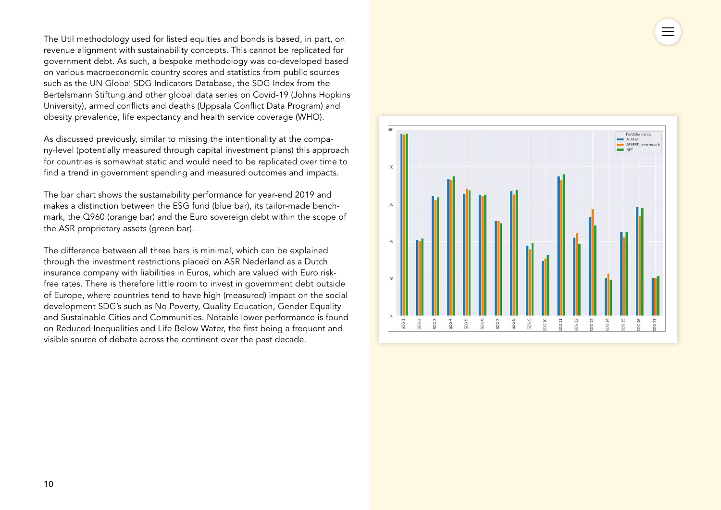The Util methodology used for listed equities and bonds is based, in part, on revenue alignment with sustainability concepts. This cannot be replicated for government debt. As such, a bespoke methodology was co-developed based on various macroeconomic country scores and statistics from public sources such as the UN Global SDG Indicators Database, the SDG Index from the Bertelsmann Stiftung and other global data series on Covid-19 (Johns Hopkins University), armed conflicts and deaths (Uppsala Conflict Data Program) and obesity prevalence, life expectancy and health service coverage (WHO).

As discussed previously, similar to missing the intentionality at the company-level (potentially measured through capital investment plans) this approach for countries is somewhat static and would need to be replicated over time to find a trend in government spending and measured outcomes and impacts.

The bar chart shows the sustainability performance for year-end 2019 and makes a distinction between the ESG fund (blue bar), its tailor-made benchmark, the Q960 (orange bar) and the Euro sovereign debt within the scope of the ASR proprietary assets (green bar).

The difference between all three bars is minimal, which can be explained through the investment restrictions placed on ASR Nederland as a Dutch insurance company with liabilities in Euros, which are valued with Euro riskfree rates. There is therefore little room to invest in government debt outside of Europe, where countries tend to have high (measured) impact on the social development SDG's such as No Poverty, Quality Education, Gender Equality and Sustainable Cities and Communities. Notable lower performance is found on Reduced Inequalities and Life Below Water, the first being a frequent and visible source of debate across the continent over the past decade.

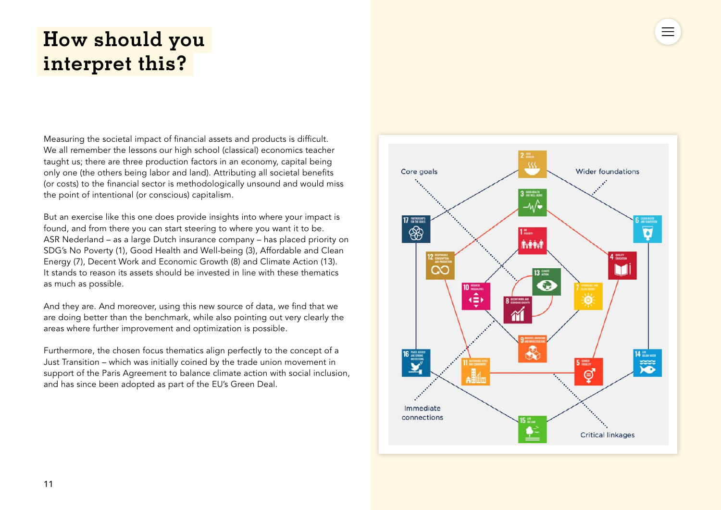# <span id="page-10-0"></span>**How should you interpret this?**

Measuring the societal impact of financial assets and products is difficult. We all remember the lessons our high school (classical) economics teacher taught us; there are three production factors in an economy, capital being only one (the others being labor and land). Attributing all societal benefits (or costs) to the financial sector is methodologically unsound and would miss the point of intentional (or conscious) capitalism.

But an exercise like this one does provide insights into where your impact is found, and from there you can start steering to where you want it to be. ASR Nederland – as a large Dutch insurance company – has placed priority on SDG's No Poverty (1), Good Health and Well-being (3), Affordable and Clean Energy (7), Decent Work and Economic Growth (8) and Climate Action (13). It stands to reason its assets should be invested in line with these thematics as much as possible.

And they are. And moreover, using this new source of data, we find that we are doing better than the benchmark, while also pointing out very clearly the areas where further improvement and optimization is possible.

Furthermore, the chosen focus thematics align perfectly to the concept of a Just Transition – which was initially coined by the trade union movement in support of the Paris Agreement to balance climate action with social inclusion, and has since been adopted as part of the EU's Green Deal.



 $\equiv$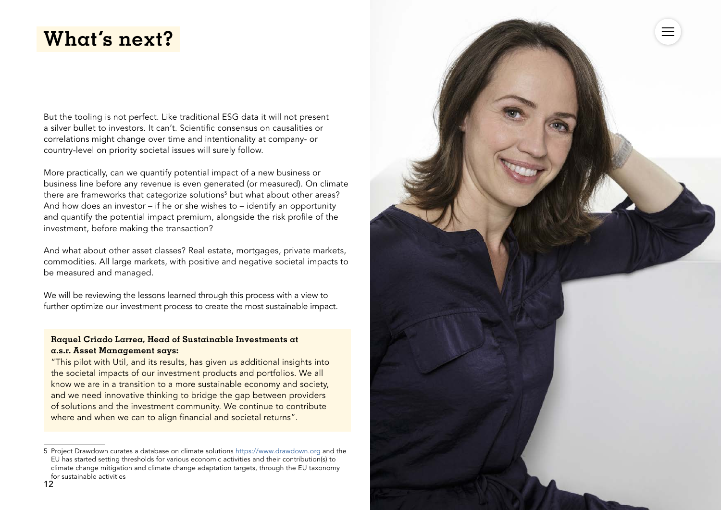### <span id="page-11-0"></span>**What's next?**

But the tooling is not perfect. Like traditional ESG data it will not present a silver bullet to investors. It can't. Scientific consensus on causalities or correlations might change over time and intentionality at company- or country-level on priority societal issues will surely follow.

More practically, can we quantify potential impact of a new business or business line before any revenue is even generated (or measured). On climate there are frameworks that categorize solutions<sup>5</sup> but what about other areas? And how does an investor – if he or she wishes to – identify an opportunity and quantify the potential impact premium, alongside the risk profile of the investment, before making the transaction?

And what about other asset classes? Real estate, mortgages, private markets, commodities. All large markets, with positive and negative societal impacts to be measured and managed.

We will be reviewing the lessons learned through this process with a view to further optimize our investment process to create the most sustainable impact.

#### **Raquel Criado Larrea, Head of Sustainable Investments at a.s.r. Asset Management says:**

"This pilot with Util, and its results, has given us additional insights into the societal impacts of our investment products and portfolios. We all know we are in a transition to a more sustainable economy and society, and we need innovative thinking to bridge the gap between providers of solutions and the investment community. We continue to contribute where and when we can to align financial and societal returns".

<sup>5</sup> Project Drawdown curates a database on climate solutions [https://www.drawdown.org](https://www.drawdown.org/) and the EU has started setting thresholds for various economic activities and their contribution(s) to climate change mitigation and climate change adaptation targets, through the EU taxonomy for sustainable activities